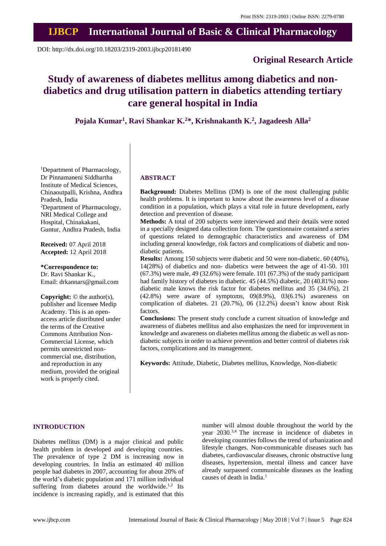## **IJBCP International Journal of Basic & Clinical Pharmacology**

DOI: http://dx.doi.org/10.18203/2319-2003.ijbcp20181490

### **Original Research Article**

# **Study of awareness of diabetes mellitus among diabetics and nondiabetics and drug utilisation pattern in diabetics attending tertiary care general hospital in India**

**Pojala Kumar<sup>1</sup> , Ravi Shankar K. <sup>2</sup>\*, Krishnakanth K. 2 , Jagadeesh Alla<sup>2</sup>**

<sup>1</sup>Department of Pharmacology, Dr Pinnamaneni Siddhartha Institute of Medical Sciences, Chinaoutpalli, Krishna, Andhra Pradesh, India <sup>2</sup>Department of Pharmacology, NRI Medical College and Hospital, Chinakakani, Guntur, Andhra Pradesh, India

**Received:** 07 April 2018 **Accepted:** 12 April 2018

**\*Correspondence to:** Dr. Ravi Shankar K., Email: drkannars@gmail.com

**Copyright:** © the author(s), publisher and licensee Medip Academy. This is an openaccess article distributed under the terms of the Creative Commons Attribution Non-Commercial License, which permits unrestricted noncommercial use, distribution, and reproduction in any medium, provided the original work is properly cited.

#### **ABSTRACT**

**Background:** Diabetes Mellitus (DM) is one of the most challenging public health problems. It is important to know about the awareness level of a disease condition in a population, which plays a vital role in future development, early detection and prevention of disease.

**Methods:** A total of 200 subjects were interviewed and their details were noted in a specially designed data collection form. The questionnaire contained a series of questions related to demographic characteristics and awareness of DM including general knowledge, risk factors and complications of diabetic and nondiabetic patients.

**Results:** Among 150 subjects were diabetic and 50 were non-diabetic. 60 (40%), 14(28%) of diabetics and non- diabetics were between the age of 41-50. 101 (67.3%) were male, 49 (32.6%) were female. 101 (67.3%) of the study participant had family history of diabetes in diabetic. 45 (44.5%) diabetic, 20 (40.81%) nondiabetic male knows the risk factor for diabetes mellitus and 35 (34.6%), 21  $(42.8\%)$  were aware of symptoms,  $09(8.9\%)$ ,  $03(6.1\%)$  awareness on complication of diabetes. 21 (20.7%), 06 (12.2%) doesn't know about Risk factors.

**Conclusions:** The present study conclude a current situation of knowledge and awareness of diabetes mellitus and also emphasizes the need for improvement in knowledge and awareness on diabetes mellitus among the diabetic as well as nondiabetic subjects in order to achieve prevention and better control of diabetes risk factors, complications and its management.

**Keywords:** Attitude, Diabetic, Diabetes mellitus, Knowledge, Non-diabetic

#### **INTRODUCTION**

Diabetes mellitus (DM) is a major clinical and public health problem in developed and developing countries. The prevalence of type 2 DM is increasing now in developing countries. In India an estimated 40 million people had diabetes in 2007, accounting for about 20% of the world's diabetic population and 171 million individual suffering from diabetes around the worldwide. $1,2$  Its incidence is increasing rapidly, and is estimated that this

number will almost double throughout the world by the year 2030.<sup>3,4</sup> The increase in incidence of diabetes in developing countries follows the trend of urbanization and lifestyle changes. Non-communicable diseases such has diabetes, cardiovascular diseases, chronic obstructive lung diseases, hypertension, mental illness and cancer have already surpassed communicable diseases as the leading causes of death in India. 1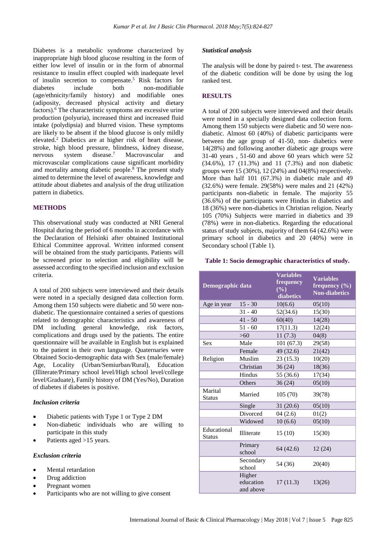Diabetes is a metabolic syndrome characterized by inappropriate high blood glucose resulting in the form of either low level of insulin or in the form of abnormal resistance to insulin effect coupled with inadequate level of insulin secretion to compensate. <sup>5</sup> Risk factors for diabetes include both non-modifiable (age/ethnicity/family history) and modifiable ones (adiposity, decreased physical activity and dietary factors). <sup>6</sup> The characteristic symptoms are excessive urine production (polyuria), increased thirst and increased fluid intake (polydipsia) and blurred vision. These symptoms are likely to be absent if the blood glucose is only mildly elevated. <sup>2</sup> Diabetics are at higher risk of heart disease, stroke, high blood pressure, blindness, kidney disease, nervous system disease. Macrovascular and microvascular complications cause significant morbidity and mortality among diabetic people. <sup>8</sup> The present study aimed to determine the level of awareness, knowledge and attitude about diabetes and analysis of the drug utilization pattern in diabetics.

#### **METHODS**

This observational study was conducted at NRI General Hospital during the period of 6 months in accordance with the Declaration of Helsinki after obtained Institutional Ethical Committee approval. Written informed consent will be obtained from the study participants. Patients will be screened prior to selection and eligibility will be assessed according to the specified inclusion and exclusion criteria.

A total of 200 subjects were interviewed and their details were noted in a specially designed data collection form. Among them 150 subjects were diabetic and 50 were nondiabetic. The questionnaire contained a series of questions related to demographic characteristics and awareness of DM including general knowledge, risk factors, complications and drugs used by the patients. The entire questionnaire will be available in English but is explained to the patient in their own language. Quaternaries were Obtained Socio-demographic data with Sex (male/female) Age, Locality (Urban/Semiurban/Rural), Education (Illiterate/Primary school level/High school level/college level/Graduate), Family history of DM (Yes/No), Duration of diabetes if diabetes is positive.

#### *Inclusion criteria*

- Diabetic patients with Type 1 or Type 2 DM
- Non-diabetic individuals who are willing to participate in this study
- Patients aged >15 years.

#### *Exclusion criteria*

- Mental retardation
- Drug addiction
- Pregnant women
- Participants who are not willing to give consent

#### *Statistical analysis*

The analysis will be done by paired t- test. The awareness of the diabetic condition will be done by using the log ranked test.

#### **RESULTS**

A total of 200 subjects were interviewed and their details were noted in a specially designed data collection form. Among them 150 subjects were diabetic and 50 were nondiabetic. Almost 60 (40%) of diabetic participants were between the age group of 41-50, non- diabetics were 14(28%) and following another diabetic age groups were 31-40 years , 51-60 and above 60 years which were 52 (34.6%), 17 (11.3%) and 11 (7.3%) and non diabetic groups were 15 (30%), 12 (24%) and 04(8%) respectively. More than half 101 (67.3%) in diabetic male and 49 (32.6%) were female. 29(58%) were males and 21 (42%) participants non-diabetic in female. The majority 55 (36.6%) of the participants were Hindus in diabetics and 18 (36%) were non-diabetics in Christian religion. Nearly 105 (70%) Subjects were married in diabetics and 39 (78%) were in non-diabetics. Regarding the educational status of study subjects, majority of them 64 (42.6%) were primary school in diabetics and 20 (40%) were in Secondary school (Table 1).

#### **Table 1: Socio demographic characteristics of study.**

| Demographic data             |                                  | <b>Variables</b><br>frequency<br>$(\%)$<br>diabetics | <b>Variables</b><br>frequency $(\% )$<br><b>Non-diabetics</b> |
|------------------------------|----------------------------------|------------------------------------------------------|---------------------------------------------------------------|
| Age in year                  | $15 - 30$                        | 10(6.6)                                              | 05(10)                                                        |
|                              | $31 - 40$                        | 52(34.6)                                             | 15(30)                                                        |
|                              | $41 - 50$                        | 60(40)                                               | 14(28)                                                        |
|                              | $51 - 60$                        | 17(11.3)                                             | 12(24)                                                        |
|                              | >60                              | 11(7.3)                                              | 04(8)                                                         |
| <b>Sex</b>                   | Male                             | 101(67.3)                                            | 29(58)                                                        |
|                              | Female                           | 49 (32.6)                                            | 21(42)                                                        |
| Religion                     | Muslim                           | 23 (15.3)                                            | 10(20)                                                        |
|                              | Christian                        | 36(24)                                               | 18(36)                                                        |
|                              | Hindus                           | 55 (36.6)                                            | 17(34)                                                        |
|                              | Others                           | 36(24)                                               | 05(10)                                                        |
| Marital<br><b>Status</b>     | Married                          | 105(70)                                              | 39(78)                                                        |
|                              | Single                           | 31(20.6)                                             | 05(10)                                                        |
|                              | Divorced                         | 04(2.6)                                              | 01(2)                                                         |
|                              | Widowed                          | 10(6.6)                                              | 05(10)                                                        |
| Educational<br><b>Status</b> | <b>Illiterate</b>                | 15(10)                                               | 15(30)                                                        |
|                              | Primary<br>school                | 64 (42.6)                                            | 12(24)                                                        |
|                              | Secondary<br>school              | 54 (36)                                              | 20(40)                                                        |
|                              | Higher<br>education<br>and above | 17(11.3)                                             | 13(26)                                                        |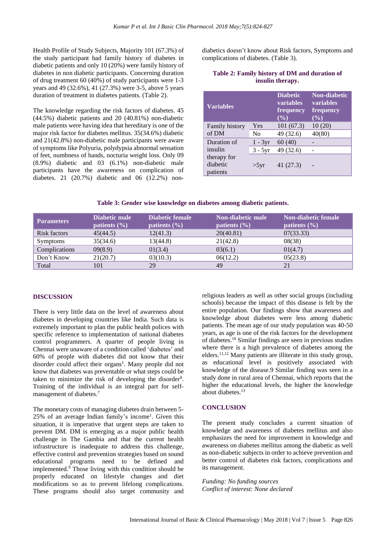Health Profile of Study Subjects, Majority 101 (67.3%) of the study participant had family history of diabetes in diabetic patients and only 10 (20%) were family history of diabetes in non diabetic participants. Concerning duration of drug treatment 60 (40%) of study participants were 1-3 years and 49 (32.6%), 41 (27.3%) were 3-5, above 5 years duration of treatment in diabetes patients. (Table 2).

The knowledge regarding the risk factors of diabetes. 45 (44.5%) diabetic patients and 20 (40.81%) non-diabetic male patients were having idea that hereditary is one of the major risk factor for diabetes mellitus. 35(34.6%) diabetic and 21(42.8%) non-diabetic male participants were aware of symptoms like Polyuria, polydypsia abnormal sensation of feet, numbness of hands, nocturia weight loss. Only 09 (8.9%) diabetic and 03 (6.1%) non-diabetic male participants have the awareness on complication of diabetes. 21 (20.7%) diabetic and 06 (12.2%) nondiabetics doesn't know about Risk factors, Symptoms and complications of diabetes. (Table 3).

|                  |  |  |  |  | Table 2: Family history of DM and duration of |  |
|------------------|--|--|--|--|-----------------------------------------------|--|
| insulin therapy. |  |  |  |  |                                               |  |

| <b>Variables</b>                                              |                | <b>Diabetic</b><br><b>variables</b><br>frequency<br>$(\sqrt[0]{0})$ | <b>Non-diabetic</b><br><b>variables</b><br>frequency<br>$($ %) |
|---------------------------------------------------------------|----------------|---------------------------------------------------------------------|----------------------------------------------------------------|
| <b>Family history</b><br>of DM                                | Yes            | 101(67.3)                                                           | 10(20)                                                         |
|                                                               | No             | 49 (32.6)                                                           | 40(80)                                                         |
| Duration of<br>insulin<br>therapy for<br>diabetic<br>patients | $1 - 3yr$      | 60(40)                                                              |                                                                |
|                                                               | $3 - 5yr$      | 49 (32.6)                                                           |                                                                |
|                                                               | $>5 \text{yr}$ | 41 (27.3)                                                           |                                                                |

**Table 3: Gender wise knowledge on diabetes among diabetic patients.**

| <b>Parameters</b> | Diabetic male<br>patients $(\% )$ | Diabetic female<br>patients $(\% )$ | Non-diabetic male<br>patients $(\% )$ | <b>Non-diabetic female</b><br>patients $(\% )$ |
|-------------------|-----------------------------------|-------------------------------------|---------------------------------------|------------------------------------------------|
| Risk factors      | 45(44.5)                          | 12(41.3)                            | 20(40.81)                             | 07(33.33)                                      |
| <b>Symptoms</b>   | 35(34.6)                          | 13(44.8)                            | 21(42.8)                              | 08(38)                                         |
| Complications     | 09(8.9)                           | 01(3.4)                             | 03(6.1)                               | 01(4.7)                                        |
| Don't Know        | 21(20.7)                          | 03(10.3)                            | 06(12.2)                              | 05(23.8)                                       |
| Total             | 101                               | 29                                  | 49                                    | 21                                             |

#### **DISCUSSION**

There is very little data on the level of awareness about diabetes in developing countries like India. Such data is extremely important to plan the public health polices with specific reference to implementation of national diabetes control programmers. A quarter of people living in Chennai were unaware of a condition called 'diabetes' and 60% of people with diabetes did not know that their disorder could affect their organs<sup>1</sup>. Many people did not know that diabetes was preventable or what steps could be taken to minimize the risk of developing the disorder<sup>8</sup>. Training of the individual is an integral part for selfmanagement of diabetes.<sup>7</sup>

The monetary costs of managing diabetes drain between 5- 25% of an average Indian family's income<sup>1</sup>. Given this situation, it is imperative that urgent steps are taken to prevent DM. DM is emerging as a major public health challenge in The Gambia and that the current health infrastructure is inadequate to address this challenge, effective control and prevention strategies based on sound educational programs need to be defined and implemented. <sup>9</sup> Those living with this condition should be properly educated on lifestyle changes and diet modifications so as to prevent lifelong complications. These programs should also target community and religious leaders as well as other social groups (including schools) because the impact of this disease is felt by the entire population. Our findings show that awareness and knowledge about diabetes were less among diabetic patients. The mean age of our study population was 40-50 years, as age is one of the risk factors for the development of diabetes. <sup>10</sup> Similar findings are seen in previous studies where there is a high prevalence of diabetes among the elders.<sup>11,12</sup> Many patients are illiterate in this study group, as educational level is positively associated with knowledge of the disease.9 Similar finding was seen in a study done in rural area of Chennai, which reports that the higher the educational levels, the higher the knowledge about diabetes. 13

#### **CONCLUSION**

The present study concludes a current situation of knowledge and awareness of diabetes mellitus and also emphasizes the need for improvement in knowledge and awareness on diabetes mellitus among the diabetic as well as non-diabetic subjects in order to achieve prevention and better control of diabetes risk factors, complications and its management.

*Funding: No funding sources Conflict of interest: None declared*